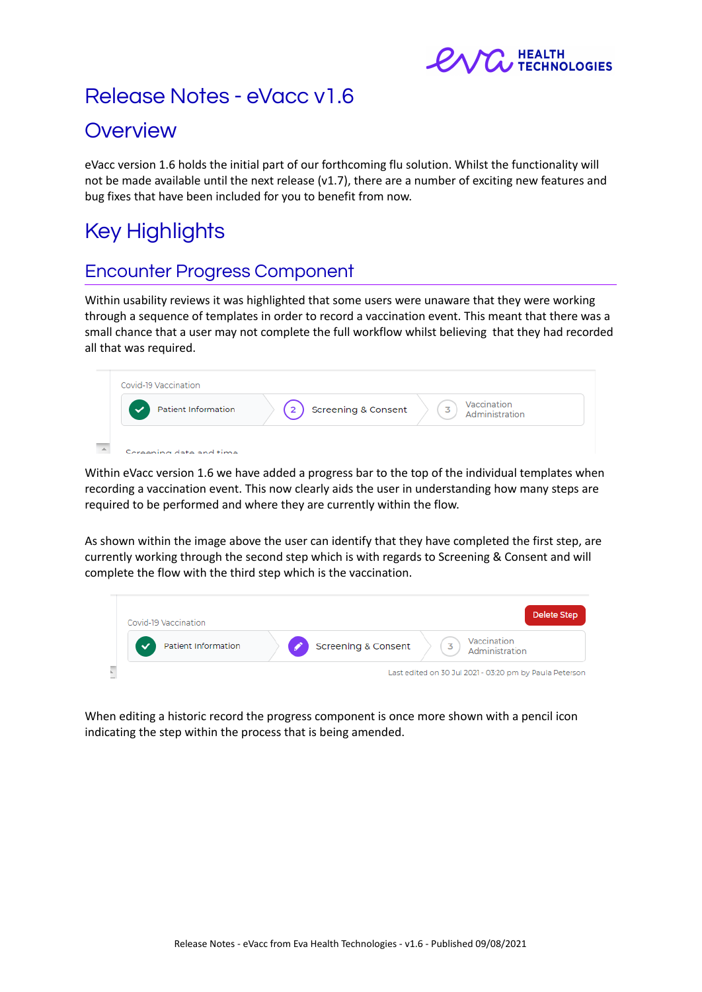

# Release Notes - eVacc v1.6

## **Overview**

eVacc version 1.6 holds the initial part of our forthcoming flu solution. Whilst the functionality will not be made available until the next release (v1.7), there are a number of exciting new features and bug fixes that have been included for you to benefit from now.

# Key Highlights

### Encounter Progress Component

Within usability reviews it was highlighted that some users were unaware that they were working through a sequence of templates in order to record a vaccination event. This meant that there was a small chance that a user may not complete the full workflow whilst believing that they had recorded all that was required.



Within eVacc version 1.6 we have added a progress bar to the top of the individual templates when recording a vaccination event. This now clearly aids the user in understanding how many steps are required to be performed and where they are currently within the flow.

As shown within the image above the user can identify that they have completed the first step, are currently working through the second step which is with regards to Screening & Consent and will complete the flow with the third step which is the vaccination.



When editing a historic record the progress component is once more shown with a pencil icon indicating the step within the process that is being amended.